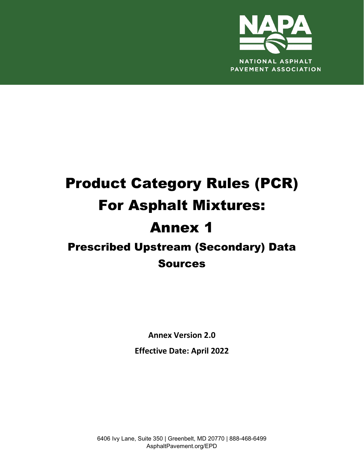

# Product Category Rules (PCR) For Asphalt Mixtures: Annex 1 Prescribed Upstream (Secondary) Data Sources

**Annex Version 2.0**

**Effective Date: April 2022**

6406 Ivy Lane, Suite 350 | Greenbelt, MD 20770 | 888-468-6499 AsphaltPavement.org/EPD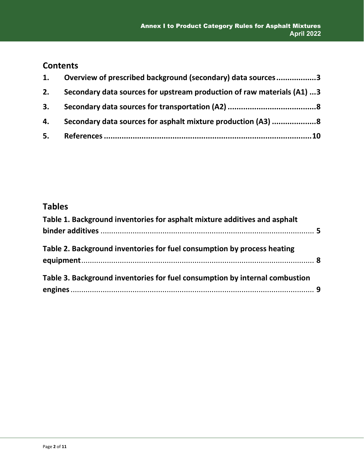## **Contents**

| 1. | Overview of prescribed background (secondary) data sources3            |
|----|------------------------------------------------------------------------|
| 2. | Secondary data sources for upstream production of raw materials (A1) 3 |
|    |                                                                        |
|    | 4. Secondary data sources for asphalt mixture production (A3) 8        |
|    |                                                                        |

### **Tables**

| Table 1. Background inventories for asphalt mixture additives and asphalt   |  |
|-----------------------------------------------------------------------------|--|
| Table 2. Background inventories for fuel consumption by process heating     |  |
| Table 3. Background inventories for fuel consumption by internal combustion |  |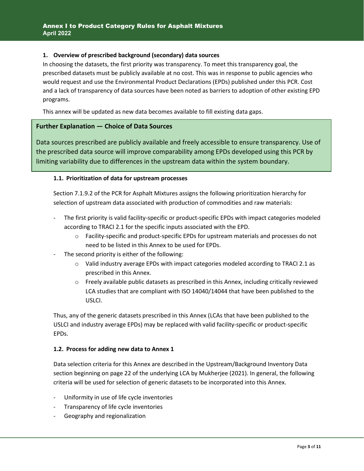#### <span id="page-2-0"></span>**1. Overview of prescribed background (secondary) data sources**

In choosing the datasets, the first priority was transparency. To meet this transparency goal, the prescribed datasets must be publicly available at no cost. This was in response to public agencies who would request and use the Environmental Product Declarations (EPDs) published under this PCR. Cost and a lack of transparency of data sources have been noted as barriers to adoption of other existing EPD programs.

This annex will be updated as new data becomes available to fill existing data gaps.

#### **Further Explanation — Choice of Data Sources**

Data sources prescribed are publicly available and freely accessible to ensure transparency. Use of the prescribed data source will improve comparability among EPDs developed using this PCR by limiting variability due to differences in the upstream data within the system boundary.

#### <span id="page-2-1"></span>**1.1. Prioritization of data for upstream processes**

Section 7.1.9.2 of the PCR for Asphalt Mixtures assigns the following prioritization hierarchy for selection of upstream data associated with production of commodities and raw materials:

- The first priority is valid facility-specific or product-specific EPDs with impact categories modeled according to TRACI 2.1 for the specific inputs associated with the EPD.
	- o Facility-specific and product-specific EPDs for upstream materials and processes do not need to be listed in this Annex to be used for EPDs.
- The second priority is either of the following:
	- $\circ$  Valid industry average EPDs with impact categories modeled according to TRACI 2.1 as prescribed in this Annex.
	- $\circ$  Freely available public datasets as prescribed in this Annex, including critically reviewed LCA studies that are compliant with ISO 14040/14044 that have been published to the USLCI.

Thus, any of the generic datasets prescribed in this Annex (LCAs that have been published to the USLCI and industry average EPDs) may be replaced with valid facility-specific or product-specific EPDs.

#### **1.2. Process for adding new data to Annex 1**

Data selection criteria for this Annex are described in the Upstream/Background Inventory Data section beginning on page 22 of the underlying LCA by Mukherjee (2021). In general, the following criteria will be used for selection of generic datasets to be incorporated into this Annex.

- Uniformity in use of life cycle inventories
- Transparency of life cycle inventories
- Geography and regionalization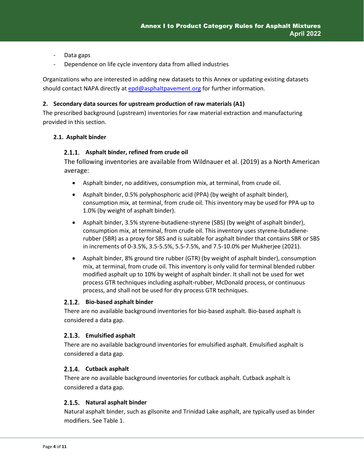- Data gaps
- Dependence on life cycle inventory data from allied industries

Organizations who are interested in adding new datasets to this Annex or updating existing datasets should contact NAPA directly at [epd@asphaltpavement.org](mailto:epd@asphaltpavement.org) for further information.

#### **2. Secondary data sources for upstream production of raw materials (A1)**

The prescribed background (upstream) inventories for raw material extraction and manufacturing provided in this section.

#### **2.1. Asphalt binder**

#### **Asphalt binder, refined from crude oil**

The following inventories are available from Wildnauer et al. (2019) as a North American average:

- Asphalt binder, no additives, consumption mix, at terminal, from crude oil.
- Asphalt binder, 0.5% polyphosphoric acid (PPA) (by weight of asphalt binder), consumption mix, at terminal, from crude oil. This inventory may be used for PPA up to 1.0% (by weight of asphalt binder).
- Asphalt binder, 3.5% styrene-butadiene-styrene (SBS) (by weight of asphalt binder), consumption mix, at terminal, from crude oil. This inventory uses styrene-butadienerubber (SBR) as a proxy for SBS and is suitable for asphalt binder that contains SBR or SBS in increments of 0-3.5%, 3.5-5.5%, 5.5-7.5%, and 7.5-10.0% per Mukherjee (2021).
- Asphalt binder, 8% ground tire rubber (GTR) (by weight of asphalt binder), consumption mix, at terminal, from crude oil. This inventory is only valid for terminal blended rubber modified asphalt up to 10% by weight of asphalt binder. It shall not be used for wet process GTR techniques including asphalt-rubber, McDonald process, or continuous process, and shall not be used for dry process GTR techniques.

#### **Bio-based asphalt binder**

There are no available background inventories for bio-based asphalt. Bio-based asphalt is considered a data gap.

#### **Emulsified asphalt**

There are no available background inventories for emulsified asphalt. Emulsified asphalt is considered a data gap.

#### 2.1.4. Cutback asphalt

There are no available background inventories for cutback asphalt. Cutback asphalt is considered a data gap.

#### **Natural asphalt binder**

Natural asphalt binder, such as gilsonite and Trinidad Lake asphalt, are typically used as binder modifiers. See Table 1.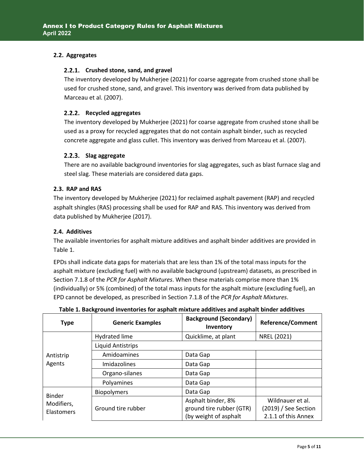#### **2.2. Aggregates**

#### **Crushed stone, sand, and gravel**

The inventory developed by Mukherjee (2021) for coarse aggregate from crushed stone shall be used for crushed stone, sand, and gravel. This inventory was derived from data published by Marceau et al. (2007).

#### **Recycled aggregates**

The inventory developed by Mukherjee (2021) for coarse aggregate from crushed stone shall be used as a proxy for recycled aggregates that do not contain asphalt binder, such as recycled concrete aggregate and glass cullet. This inventory was derived from Marceau et al. (2007).

#### 2.2.3. Slag aggregate

There are no available background inventories for slag aggregates, such as blast furnace slag and steel slag. These materials are considered data gaps.

#### **2.3. RAP and RAS**

The inventory developed by Mukherjee (2021) for reclaimed asphalt pavement (RAP) and recycled asphalt shingles (RAS) processing shall be used for RAP and RAS. This inventory was derived from data published by Mukherjee (2017).

#### **2.4. Additives**

The available inventories for asphalt mixture additives and asphalt binder additives are provided in [Table 1.](#page-4-0)

EPDs shall indicate data gaps for materials that are less than 1% of the total mass inputs for the asphalt mixture (excluding fuel) with no available background (upstream) datasets, as prescribed in Section 7.1.8 of the *PCR for Asphalt Mixtures*. When these materials comprise more than 1% (individually) or 5% (combined) of the total mass inputs for the asphalt mixture (excluding fuel), an EPD cannot be developed, as prescribed in Section 7.1.8 of the *PCR for Asphalt Mixtures*.

<span id="page-4-0"></span>

| <b>Type</b>                     | <b>Generic Examples</b>  | <b>Background (Secondary)</b><br>Inventory                              | <b>Reference/Comment</b>                                        |
|---------------------------------|--------------------------|-------------------------------------------------------------------------|-----------------------------------------------------------------|
|                                 | Hydrated lime            | Quicklime, at plant                                                     | NREL (2021)                                                     |
|                                 | <b>Liquid Antistrips</b> |                                                                         |                                                                 |
| Antistrip                       | Amidoamines              | Data Gap                                                                |                                                                 |
| Agents                          | Imidazolines             | Data Gap                                                                |                                                                 |
|                                 | Organo-silanes           | Data Gap                                                                |                                                                 |
|                                 | Polyamines               | Data Gap                                                                |                                                                 |
| <b>Binder</b>                   | <b>Biopolymers</b>       | Data Gap                                                                |                                                                 |
| Modifiers,<br><b>Elastomers</b> | Ground tire rubber       | Asphalt binder, 8%<br>ground tire rubber (GTR)<br>(by weight of asphalt | Wildnauer et al.<br>(2019) / See Section<br>2.1.1 of this Annex |

**Table 1. Background inventories for asphalt mixture additives and asphalt binder additives**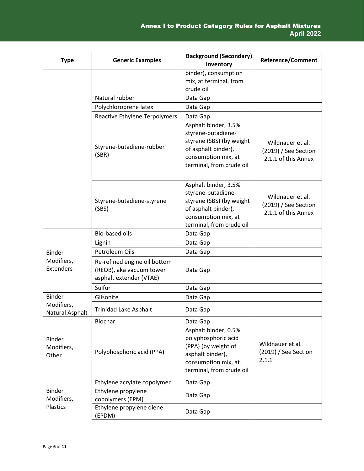| <b>Type</b>                          | <b>Generic Examples</b>                                                             | <b>Background (Secondary)</b><br>Inventory                                                                                                       | <b>Reference/Comment</b>                                        |
|--------------------------------------|-------------------------------------------------------------------------------------|--------------------------------------------------------------------------------------------------------------------------------------------------|-----------------------------------------------------------------|
|                                      |                                                                                     | binder), consumption<br>mix, at terminal, from<br>crude oil                                                                                      |                                                                 |
|                                      | Natural rubber                                                                      | Data Gap                                                                                                                                         |                                                                 |
|                                      | Polychloroprene latex                                                               | Data Gap                                                                                                                                         |                                                                 |
|                                      | Reactive Ethylene Terpolymers                                                       | Data Gap                                                                                                                                         |                                                                 |
|                                      | Styrene-butadiene-rubber<br>(SBR)                                                   | Asphalt binder, 3.5%<br>styrene-butadiene-<br>styrene (SBS) (by weight<br>of asphalt binder),<br>consumption mix, at<br>terminal, from crude oil | Wildnauer et al.<br>(2019) / See Section<br>2.1.1 of this Annex |
|                                      | Styrene-butadiene-styrene<br>(SBS)                                                  | Asphalt binder, 3.5%<br>styrene-butadiene-<br>styrene (SBS) (by weight<br>of asphalt binder),<br>consumption mix, at<br>terminal, from crude oil | Wildnauer et al.<br>(2019) / See Section<br>2.1.1 of this Annex |
|                                      | <b>Bio-based oils</b>                                                               | Data Gap                                                                                                                                         |                                                                 |
|                                      | Lignin                                                                              | Data Gap                                                                                                                                         |                                                                 |
| <b>Binder</b>                        | Petroleum Oils                                                                      | Data Gap                                                                                                                                         |                                                                 |
| Modifiers,<br><b>Extenders</b>       | Re-refined engine oil bottom<br>(REOB), aka vacuum tower<br>asphalt extender (VTAE) | Data Gap                                                                                                                                         |                                                                 |
|                                      | Sulfur                                                                              | Data Gap                                                                                                                                         |                                                                 |
| <b>Binder</b>                        | Gilsonite                                                                           | Data Gap                                                                                                                                         |                                                                 |
| Modifiers,<br>Natural Asphalt        | Trinidad Lake Asphalt                                                               | Data Gap                                                                                                                                         |                                                                 |
|                                      | Biochar                                                                             | Data Gap                                                                                                                                         |                                                                 |
| <b>Binder</b><br>Modifiers,<br>Other | Polyphosphoric acid (PPA)                                                           | Asphalt binder, 0.5%<br>polyphosphoric acid<br>(PPA) (by weight of<br>asphalt binder),<br>consumption mix, at<br>terminal, from crude oil        | Wildnauer et al.<br>$(2019)$ / See Section<br>2.1.1             |
|                                      | Ethylene acrylate copolymer                                                         | Data Gap                                                                                                                                         |                                                                 |
| <b>Binder</b><br>Modifiers,          | Ethylene propylene<br>copolymers (EPM)                                              | Data Gap                                                                                                                                         |                                                                 |
| Plastics                             | Ethylene propylene diene<br>(EPDM)                                                  | Data Gap                                                                                                                                         |                                                                 |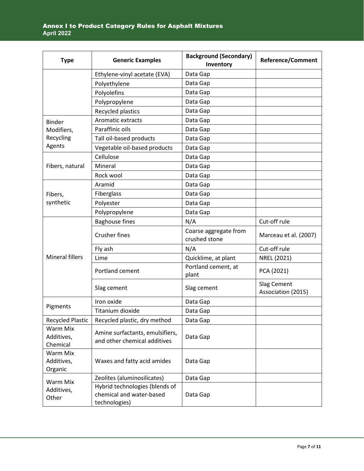| <b>Type</b>                        | <b>Generic Examples</b>                                                     | <b>Background (Secondary)</b><br>Inventory | <b>Reference/Comment</b>          |
|------------------------------------|-----------------------------------------------------------------------------|--------------------------------------------|-----------------------------------|
|                                    | Ethylene-vinyl acetate (EVA)                                                | Data Gap                                   |                                   |
|                                    | Polyethylene                                                                | Data Gap                                   |                                   |
|                                    | Polyolefins                                                                 | Data Gap                                   |                                   |
|                                    | Polypropylene                                                               | Data Gap                                   |                                   |
|                                    | Recycled plastics                                                           | Data Gap                                   |                                   |
| <b>Binder</b>                      | Aromatic extracts                                                           | Data Gap                                   |                                   |
| Modifiers,                         | Paraffinic oils                                                             | Data Gap                                   |                                   |
| Recycling                          | Tall oil-based products                                                     | Data Gap                                   |                                   |
| Agents                             | Vegetable oil-based products                                                | Data Gap                                   |                                   |
|                                    | Cellulose                                                                   | Data Gap                                   |                                   |
| Fibers, natural                    | Mineral                                                                     | Data Gap                                   |                                   |
|                                    | Rock wool                                                                   | Data Gap                                   |                                   |
|                                    | Aramid                                                                      | Data Gap                                   |                                   |
| Fibers,                            | Fiberglass                                                                  | Data Gap                                   |                                   |
| synthetic                          | Polyester                                                                   | Data Gap                                   |                                   |
|                                    | Polypropylene                                                               | Data Gap                                   |                                   |
|                                    | <b>Baghouse fines</b>                                                       | N/A                                        | Cut-off rule                      |
|                                    | <b>Crusher fines</b>                                                        | Coarse aggregate from<br>crushed stone     | Marceau et al. (2007)             |
|                                    | Fly ash                                                                     | N/A                                        | Cut-off rule                      |
| <b>Mineral fillers</b>             | Lime                                                                        | Quicklime, at plant                        | NREL (2021)                       |
|                                    | Portland cement                                                             | Portland cement, at<br>plant               | PCA (2021)                        |
|                                    | Slag cement                                                                 | Slag cement                                | Slag Cement<br>Association (2015) |
|                                    | Iron oxide                                                                  | Data Gap                                   |                                   |
| Pigments                           | Titanium dioxide                                                            | Data Gap                                   |                                   |
| Recycled Plastic                   | Recycled plastic, dry method                                                | Data Gap                                   |                                   |
| Warm Mix<br>Additives,<br>Chemical | Amine surfactants, emulsifiers,<br>and other chemical additives             | Data Gap                                   |                                   |
| Warm Mix<br>Additives,<br>Organic  | Waxes and fatty acid amides                                                 | Data Gap                                   |                                   |
| Warm Mix                           | Zeolites (aluminosilicates)                                                 | Data Gap                                   |                                   |
| Additives,<br>Other                | Hybrid technologies (blends of<br>chemical and water-based<br>technologies) | Data Gap                                   |                                   |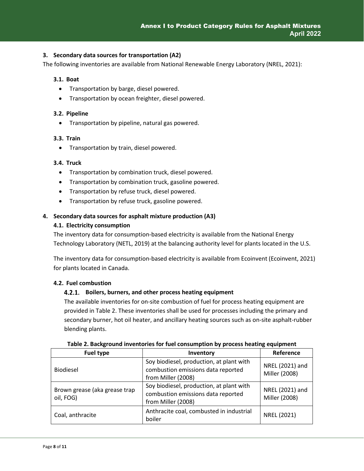#### <span id="page-7-0"></span>**3. Secondary data sources for transportation (A2)**

The following inventories are available from National Renewable Energy Laboratory (NREL, 2021):

#### **3.1. Boat**

- Transportation by barge, diesel powered.
- Transportation by ocean freighter, diesel powered.

#### **3.2. Pipeline**

• Transportation by pipeline, natural gas powered.

#### **3.3. Train**

• Transportation by train, diesel powered.

#### **3.4. Truck**

- Transportation by combination truck, diesel powered.
- Transportation by combination truck, gasoline powered.
- Transportation by refuse truck, diesel powered.
- Transportation by refuse truck, gasoline powered.

#### <span id="page-7-1"></span>**4. Secondary data sources for asphalt mixture production (A3)**

#### **4.1. Electricity consumption**

The inventory data for consumption-based electricity is available from the National Energy Technology Laboratory (NETL, 2019) at the balancing authority level for plants located in the U.S.

The inventory data for consumption-based electricity is available from Ecoinvent (Ecoinvent, 2021) for plants located in Canada.

#### **4.2. Fuel combustion**

#### **Boilers, burners, and other process heating equipment**

The available inventories for on-site combustion of fuel for process heating equipment are provided in [Table 2.](#page-7-2) These inventories shall be used for processes including the primary and secondary burner, hot oil heater, and ancillary heating sources such as on-site asphalt-rubber blending plants.

<span id="page-7-2"></span>

| <b>Fuel type</b>                           | Inventory                                                                                            | Reference                        |
|--------------------------------------------|------------------------------------------------------------------------------------------------------|----------------------------------|
| <b>Biodiesel</b>                           | Soy biodiesel, production, at plant with<br>combustion emissions data reported<br>from Miller (2008) | NREL (2021) and<br>Miller (2008) |
| Brown grease (aka grease trap<br>oil, FOG) | Soy biodiesel, production, at plant with<br>combustion emissions data reported<br>from Miller (2008) | NREL (2021) and<br>Miller (2008) |
| Coal, anthracite                           | Anthracite coal, combusted in industrial<br>boiler                                                   | NREL (2021)                      |

| Table 2. Background inventories for fuel consumption by process heating equipment |  |
|-----------------------------------------------------------------------------------|--|
|-----------------------------------------------------------------------------------|--|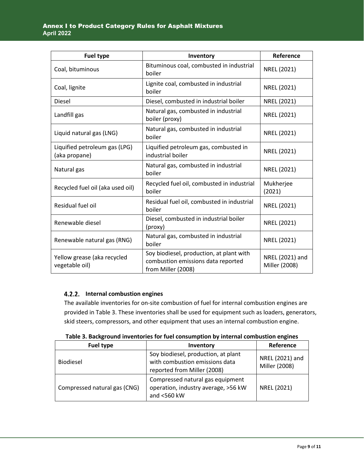| <b>Fuel type</b>                               | Inventory                                                                                            | Reference                        |
|------------------------------------------------|------------------------------------------------------------------------------------------------------|----------------------------------|
| Coal, bituminous                               | Bituminous coal, combusted in industrial<br>boiler                                                   | NREL (2021)                      |
| Coal, lignite                                  | Lignite coal, combusted in industrial<br>boiler                                                      | NREL (2021)                      |
| <b>Diesel</b>                                  | Diesel, combusted in industrial boiler                                                               | NREL (2021)                      |
| Landfill gas                                   | Natural gas, combusted in industrial<br>boiler (proxy)                                               | NREL (2021)                      |
| Liquid natural gas (LNG)                       | Natural gas, combusted in industrial<br>boiler                                                       | NREL (2021)                      |
| Liquified petroleum gas (LPG)<br>(aka propane) | Liquified petroleum gas, combusted in<br>industrial boiler                                           | NREL (2021)                      |
| Natural gas                                    | Natural gas, combusted in industrial<br>boiler                                                       | NREL (2021)                      |
| Recycled fuel oil (aka used oil)               | Recycled fuel oil, combusted in industrial<br>boiler                                                 | Mukherjee<br>(2021)              |
| Residual fuel oil                              | Residual fuel oil, combusted in industrial<br>boiler                                                 | NREL (2021)                      |
| Renewable diesel                               | Diesel, combusted in industrial boiler<br>(proxy)                                                    | NREL (2021)                      |
| Renewable natural gas (RNG)                    | Natural gas, combusted in industrial<br>boiler                                                       | NREL (2021)                      |
| Yellow grease (aka recycled<br>vegetable oil)  | Soy biodiesel, production, at plant with<br>combustion emissions data reported<br>from Miller (2008) | NREL (2021) and<br>Miller (2008) |

#### **Internal combustion engines**

The available inventories for on-site combustion of fuel for internal combustion engines are provided in [Table 3.](#page-8-0) These inventories shall be used for equipment such as loaders, generators, skid steers, compressors, and other equipment that uses an internal combustion engine.

<span id="page-8-0"></span>

| <b>Fuel type</b>             | Inventory                                                                                            | Reference                        |
|------------------------------|------------------------------------------------------------------------------------------------------|----------------------------------|
| <b>Biodiesel</b>             | Soy biodiesel, production, at plant<br>with combustion emissions data<br>reported from Miller (2008) | NREL (2021) and<br>Miller (2008) |
| Compressed natural gas (CNG) | Compressed natural gas equipment<br>operation, industry average, >56 kW<br>and <560 kW               | NREL (2021)                      |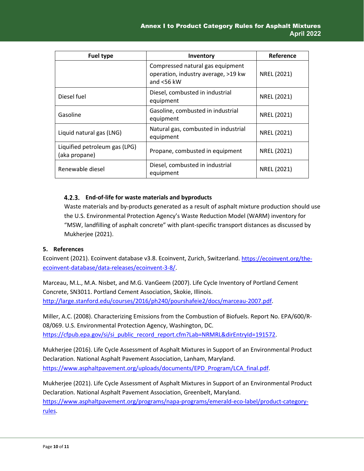| <b>Fuel type</b>                               | Inventory                                                                                | Reference   |
|------------------------------------------------|------------------------------------------------------------------------------------------|-------------|
|                                                | Compressed natural gas equipment<br>operation, industry average, >19 kw<br>and $<$ 56 kW | NREL (2021) |
| Diesel fuel                                    | Diesel, combusted in industrial<br>equipment                                             | NREL (2021) |
| Gasoline                                       | Gasoline, combusted in industrial<br>equipment                                           | NREL (2021) |
| Liquid natural gas (LNG)                       | Natural gas, combusted in industrial<br>equipment                                        | NREL (2021) |
| Liquified petroleum gas (LPG)<br>(aka propane) | Propane, combusted in equipment                                                          | NREL (2021) |
| Renewable diesel                               | Diesel, combusted in industrial<br>equipment                                             | NREL (2021) |

#### **End-of-life for waste materials and byproducts**

Waste materials and by-products generated as a result of asphalt mixture production should use the U.S. Environmental Protection Agency's Waste Reduction Model (WARM) inventory for "MSW, landfilling of asphalt concrete" with plant-specific transport distances as discussed by Mukherjee (2021).

#### <span id="page-9-0"></span>**5. References**

Ecoinvent (2021). Ecoinvent database v3.8. Ecoinvent, Zurich, Switzerland. [https://ecoinvent.org/the](https://ecoinvent.org/the-ecoinvent-database/data-releases/ecoinvent-3-8/)[ecoinvent-database/data-releases/ecoinvent-3-8/.](https://ecoinvent.org/the-ecoinvent-database/data-releases/ecoinvent-3-8/)

Marceau, M.L., M.A. Nisbet, and M.G. VanGeem (2007). Life Cycle Inventory of Portland Cement Concrete, SN3011. Portland Cement Association, Skokie, Illinois. [http://large.stanford.edu/courses/2016/ph240/pourshafeie2/docs/marceau-2007.pdf.](http://large.stanford.edu/courses/2016/ph240/pourshafeie2/docs/marceau-2007.pdf)

Miller, A.C. (2008). Characterizing Emissions from the Combustion of Biofuels. Report No. EPA/600/R-08/069. U.S. Environmental Protection Agency, Washington, DC. [https://cfpub.epa.gov/si/si\\_public\\_record\\_report.cfm?Lab=NRMRL&dirEntryId=191572.](https://cfpub.epa.gov/si/si_public_record_report.cfm?Lab=NRMRL&dirEntryId=191572)

Mukherjee (2016). Life Cycle Assessment of Asphalt Mixtures in Support of an Environmental Product Declaration. National Asphalt Pavement Association, Lanham, Maryland. [https://www.asphaltpavement.org/uploads/documents/EPD\\_Program/LCA\\_final.pdf.](https://www.asphaltpavement.org/uploads/documents/EPD_Program/LCA_final.pdf)

Mukherjee (2021). Life Cycle Assessment of Asphalt Mixtures in Support of an Environmental Product Declaration. National Asphalt Pavement Association, Greenbelt, Maryland. [https://www.asphaltpavement.org/programs/napa-programs/emerald-eco-label/product-category](https://www.asphaltpavement.org/programs/napa-programs/emerald-eco-label/product-category-rules)[rules.](https://www.asphaltpavement.org/programs/napa-programs/emerald-eco-label/product-category-rules)